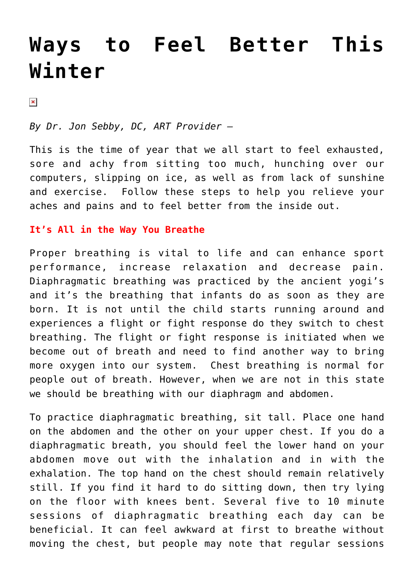# **[Ways to Feel Better This](https://chicagochirosports.com/2013/02/ways-to-feel-better-this-winter/) [Winter](https://chicagochirosports.com/2013/02/ways-to-feel-better-this-winter/)**

 $\pmb{\times}$ 

*By Dr. Jon Sebby, DC, ART Provider –* 

This is the time of year that we all start to feel exhausted, sore and achy from sitting too much, hunching over our computers, slipping on ice, as well as from lack of sunshine and exercise. Follow these steps to help you relieve your aches and pains and to feel better from the inside out.

#### **It's All in the Way You Breathe**

Proper breathing is vital to life and can enhance sport performance, increase relaxation and decrease pain. Diaphragmatic breathing was practiced by the ancient yogi's and it's the breathing that infants do as soon as they are born. It is not until the child starts running around and experiences a flight or fight response do they switch to chest breathing. The flight or fight response is initiated when we become out of breath and need to find another way to bring more oxygen into our system. Chest breathing is normal for people out of breath. However, when we are not in this state we should be breathing with our diaphragm and abdomen.

To practice diaphragmatic breathing, sit tall. Place one hand on the abdomen and the other on your upper chest. If you do a diaphragmatic breath, you should feel the lower hand on your abdomen move out with the inhalation and in with the exhalation. The top hand on the chest should remain relatively still. If you find it hard to do sitting down, then try lying on the floor with knees bent. Several five to 10 minute sessions of diaphragmatic breathing each day can be beneficial. It can feel awkward at first to breathe without moving the chest, but people may note that regular sessions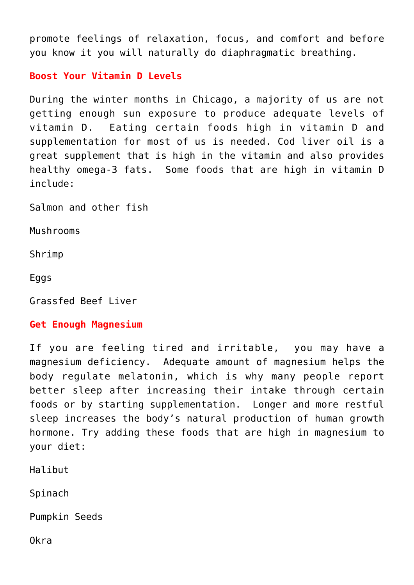promote feelings of relaxation, focus, and comfort and before you know it you will naturally do diaphragmatic breathing.

**Boost Your Vitamin D Levels**

During the winter months in Chicago, a majority of us are not getting enough sun exposure to produce adequate levels of vitamin D. Eating certain foods high in vitamin D and supplementation for most of us is needed. Cod liver oil is a great supplement that is high in the vitamin and also provides healthy omega-3 fats. Some foods that are high in vitamin D include:

Salmon and other fish

Mushrooms

Shrimp

Eggs

Grassfed Beef Liver

### **Get Enough Magnesium**

If you are feeling tired and irritable, you may have a magnesium deficiency. Adequate amount of magnesium helps the body regulate melatonin, which is why many people report better sleep after increasing their intake through certain foods or by starting supplementation. Longer and more restful sleep increases the body's natural production of human growth hormone. Try adding these foods that are high in magnesium to your diet:

Halibut

Spinach

Pumpkin Seeds

Okra